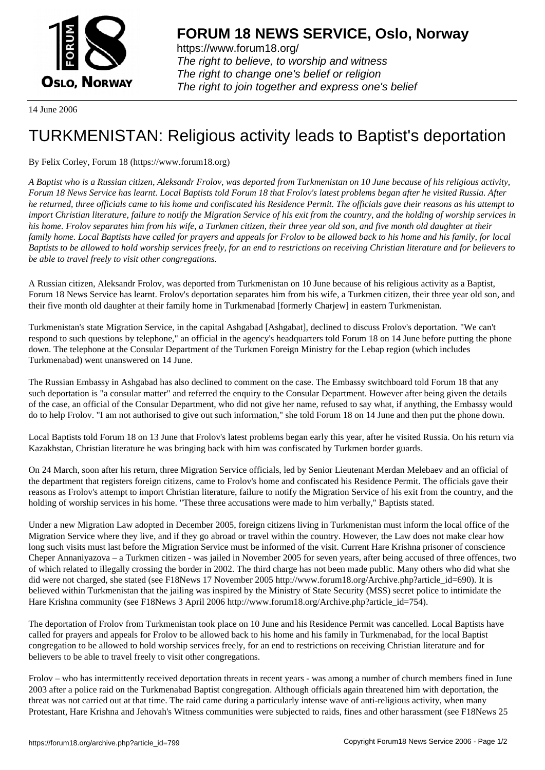

https://www.forum18.org/ The right to believe, to worship and witness The right to change one's belief or religion [The right to join together a](https://www.forum18.org/)nd express one's belief

14 June 2006

## [TURKMENISTA](https://www.forum18.org)N: Religious activity leads to Baptist's deportation

## By Felix Corley, Forum 18 (https://www.forum18.org)

*A Baptist who is a Russian citizen, Aleksandr Frolov, was deported from Turkmenistan on 10 June because of his religious activity, Forum 18 News Service has learnt. Local Baptists told Forum 18 that Frolov's latest problems began after he visited Russia. After he returned, three officials came to his home and confiscated his Residence Permit. The officials gave their reasons as his attempt to import Christian literature, failure to notify the Migration Service of his exit from the country, and the holding of worship services in his home. Frolov separates him from his wife, a Turkmen citizen, their three year old son, and five month old daughter at their family home. Local Baptists have called for prayers and appeals for Frolov to be allowed back to his home and his family, for local Baptists to be allowed to hold worship services freely, for an end to restrictions on receiving Christian literature and for believers to be able to travel freely to visit other congregations.*

A Russian citizen, Aleksandr Frolov, was deported from Turkmenistan on 10 June because of his religious activity as a Baptist, Forum 18 News Service has learnt. Frolov's deportation separates him from his wife, a Turkmen citizen, their three year old son, and their five month old daughter at their family home in Turkmenabad [formerly Charjew] in eastern Turkmenistan.

Turkmenistan's state Migration Service, in the capital Ashgabad [Ashgabat], declined to discuss Frolov's deportation. "We can't respond to such questions by telephone," an official in the agency's headquarters told Forum 18 on 14 June before putting the phone down. The telephone at the Consular Department of the Turkmen Foreign Ministry for the Lebap region (which includes Turkmenabad) went unanswered on 14 June.

The Russian Embassy in Ashgabad has also declined to comment on the case. The Embassy switchboard told Forum 18 that any such deportation is "a consular matter" and referred the enquiry to the Consular Department. However after being given the details of the case, an official of the Consular Department, who did not give her name, refused to say what, if anything, the Embassy would do to help Frolov. "I am not authorised to give out such information," she told Forum 18 on 14 June and then put the phone down.

Local Baptists told Forum 18 on 13 June that Frolov's latest problems began early this year, after he visited Russia. On his return via Kazakhstan, Christian literature he was bringing back with him was confiscated by Turkmen border guards.

On 24 March, soon after his return, three Migration Service officials, led by Senior Lieutenant Merdan Melebaev and an official of the department that registers foreign citizens, came to Frolov's home and confiscated his Residence Permit. The officials gave their reasons as Frolov's attempt to import Christian literature, failure to notify the Migration Service of his exit from the country, and the holding of worship services in his home. "These three accusations were made to him verbally," Baptists stated.

Under a new Migration Law adopted in December 2005, foreign citizens living in Turkmenistan must inform the local office of the Migration Service where they live, and if they go abroad or travel within the country. However, the Law does not make clear how long such visits must last before the Migration Service must be informed of the visit. Current Hare Krishna prisoner of conscience Cheper Annaniyazova – a Turkmen citizen - was jailed in November 2005 for seven years, after being accused of three offences, two of which related to illegally crossing the border in 2002. The third charge has not been made public. Many others who did what she did were not charged, she stated (see F18News 17 November 2005 http://www.forum18.org/Archive.php?article\_id=690). It is believed within Turkmenistan that the jailing was inspired by the Ministry of State Security (MSS) secret police to intimidate the Hare Krishna community (see F18News 3 April 2006 http://www.forum18.org/Archive.php?article\_id=754).

The deportation of Frolov from Turkmenistan took place on 10 June and his Residence Permit was cancelled. Local Baptists have called for prayers and appeals for Frolov to be allowed back to his home and his family in Turkmenabad, for the local Baptist congregation to be allowed to hold worship services freely, for an end to restrictions on receiving Christian literature and for believers to be able to travel freely to visit other congregations.

Frolov – who has intermittently received deportation threats in recent years - was among a number of church members fined in June 2003 after a police raid on the Turkmenabad Baptist congregation. Although officials again threatened him with deportation, the threat was not carried out at that time. The raid came during a particularly intense wave of anti-religious activity, when many Protestant, Hare Krishna and Jehovah's Witness communities were subjected to raids, fines and other harassment (see F18News 25